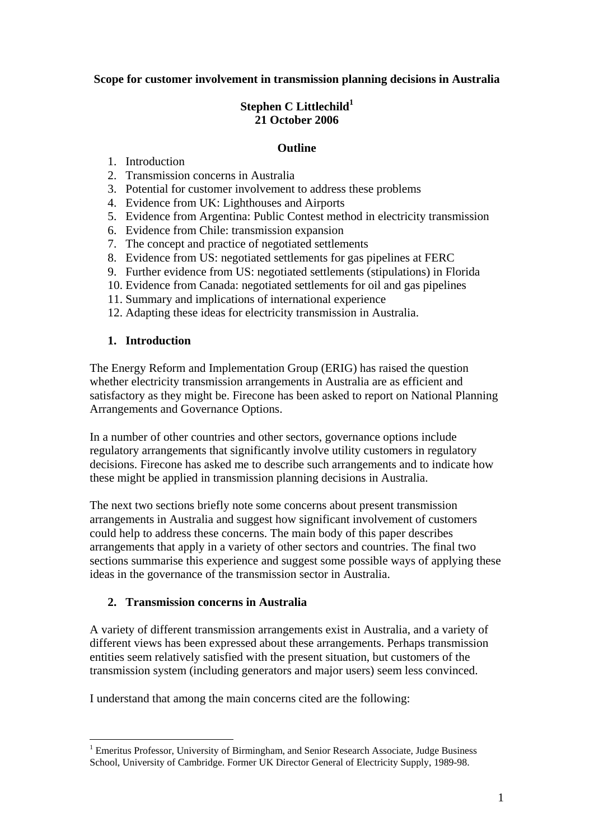#### **Scope for customer involvement in transmission planning decisions in Australia**

## Stephen C Littlechild<sup>1</sup> **21 October 2006**

#### **Outline**

- 1. Introduction
- 2. Transmission concerns in Australia
- 3. Potential for customer involvement to address these problems
- 4. Evidence from UK: Lighthouses and Airports
- 5. Evidence from Argentina: Public Contest method in electricity transmission
- 6. Evidence from Chile: transmission expansion
- 7. The concept and practice of negotiated settlements
- 8. Evidence from US: negotiated settlements for gas pipelines at FERC
- 9. Further evidence from US: negotiated settlements (stipulations) in Florida
- 10. Evidence from Canada: negotiated settlements for oil and gas pipelines
- 11. Summary and implications of international experience
- 12. Adapting these ideas for electricity transmission in Australia.

#### **1. Introduction**

The Energy Reform and Implementation Group (ERIG) has raised the question whether electricity transmission arrangements in Australia are as efficient and satisfactory as they might be. Firecone has been asked to report on National Planning Arrangements and Governance Options.

In a number of other countries and other sectors, governance options include regulatory arrangements that significantly involve utility customers in regulatory decisions. Firecone has asked me to describe such arrangements and to indicate how these might be applied in transmission planning decisions in Australia.

The next two sections briefly note some concerns about present transmission arrangements in Australia and suggest how significant involvement of customers could help to address these concerns. The main body of this paper describes arrangements that apply in a variety of other sectors and countries. The final two sections summarise this experience and suggest some possible ways of applying these ideas in the governance of the transmission sector in Australia.

## **2. Transmission concerns in Australia**

A variety of different transmission arrangements exist in Australia, and a variety of different views has been expressed about these arrangements. Perhaps transmission entities seem relatively satisfied with the present situation, but customers of the transmission system (including generators and major users) seem less convinced.

I understand that among the main concerns cited are the following:

<sup>&</sup>lt;u>.</u> <sup>1</sup> Emeritus Professor, University of Birmingham, and Senior Research Associate, Judge Business School, University of Cambridge. Former UK Director General of Electricity Supply, 1989-98.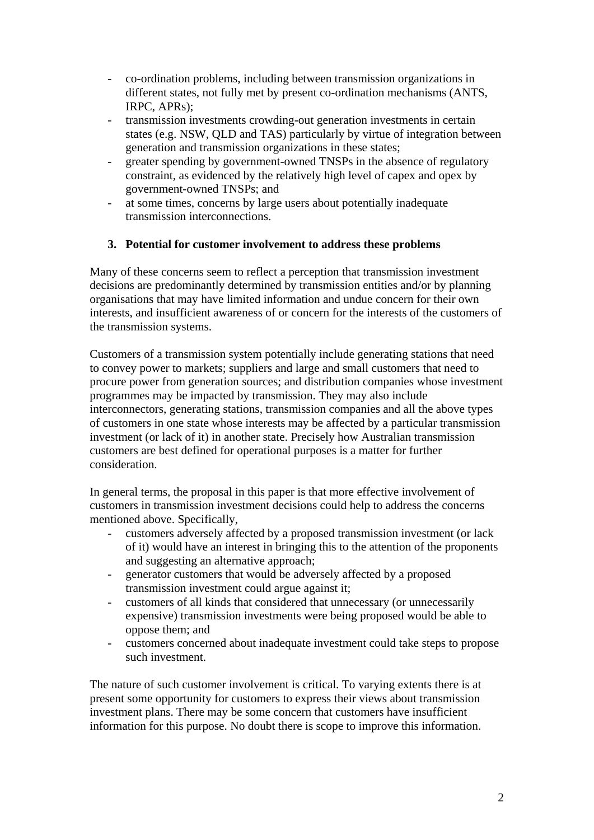- co-ordination problems, including between transmission organizations in different states, not fully met by present co-ordination mechanisms (ANTS, IRPC, APRs);
- transmission investments crowding-out generation investments in certain states (e.g. NSW, QLD and TAS) particularly by virtue of integration between generation and transmission organizations in these states;
- greater spending by government-owned TNSPs in the absence of regulatory constraint, as evidenced by the relatively high level of capex and opex by government-owned TNSPs; and
- at some times, concerns by large users about potentially inadequate transmission interconnections.

## **3. Potential for customer involvement to address these problems**

Many of these concerns seem to reflect a perception that transmission investment decisions are predominantly determined by transmission entities and/or by planning organisations that may have limited information and undue concern for their own interests, and insufficient awareness of or concern for the interests of the customers of the transmission systems.

Customers of a transmission system potentially include generating stations that need to convey power to markets; suppliers and large and small customers that need to procure power from generation sources; and distribution companies whose investment programmes may be impacted by transmission. They may also include interconnectors, generating stations, transmission companies and all the above types of customers in one state whose interests may be affected by a particular transmission investment (or lack of it) in another state. Precisely how Australian transmission customers are best defined for operational purposes is a matter for further consideration.

In general terms, the proposal in this paper is that more effective involvement of customers in transmission investment decisions could help to address the concerns mentioned above. Specifically,

- customers adversely affected by a proposed transmission investment (or lack of it) would have an interest in bringing this to the attention of the proponents and suggesting an alternative approach;
- generator customers that would be adversely affected by a proposed transmission investment could argue against it;
- customers of all kinds that considered that unnecessary (or unnecessarily expensive) transmission investments were being proposed would be able to oppose them; and
- customers concerned about inadequate investment could take steps to propose such investment.

The nature of such customer involvement is critical. To varying extents there is at present some opportunity for customers to express their views about transmission investment plans. There may be some concern that customers have insufficient information for this purpose. No doubt there is scope to improve this information.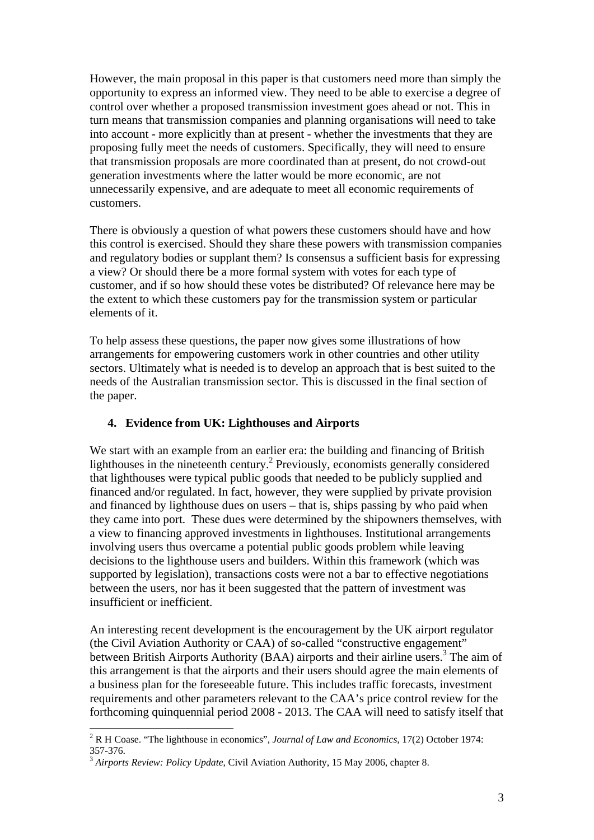However, the main proposal in this paper is that customers need more than simply the opportunity to express an informed view. They need to be able to exercise a degree of control over whether a proposed transmission investment goes ahead or not. This in turn means that transmission companies and planning organisations will need to take into account - more explicitly than at present - whether the investments that they are proposing fully meet the needs of customers. Specifically, they will need to ensure that transmission proposals are more coordinated than at present, do not crowd-out generation investments where the latter would be more economic, are not unnecessarily expensive, and are adequate to meet all economic requirements of customers.

There is obviously a question of what powers these customers should have and how this control is exercised. Should they share these powers with transmission companies and regulatory bodies or supplant them? Is consensus a sufficient basis for expressing a view? Or should there be a more formal system with votes for each type of customer, and if so how should these votes be distributed? Of relevance here may be the extent to which these customers pay for the transmission system or particular elements of it.

To help assess these questions, the paper now gives some illustrations of how arrangements for empowering customers work in other countries and other utility sectors. Ultimately what is needed is to develop an approach that is best suited to the needs of the Australian transmission sector. This is discussed in the final section of the paper.

## **4. Evidence from UK: Lighthouses and Airports**

We start with an example from an earlier era: the building and financing of British lighthouses in the nineteenth century.<sup>2</sup> Previously, economists generally considered that lighthouses were typical public goods that needed to be publicly supplied and financed and/or regulated. In fact, however, they were supplied by private provision and financed by lighthouse dues on users – that is, ships passing by who paid when they came into port. These dues were determined by the shipowners themselves, with a view to financing approved investments in lighthouses. Institutional arrangements involving users thus overcame a potential public goods problem while leaving decisions to the lighthouse users and builders. Within this framework (which was supported by legislation), transactions costs were not a bar to effective negotiations between the users, nor has it been suggested that the pattern of investment was insufficient or inefficient.

An interesting recent development is the encouragement by the UK airport regulator (the Civil Aviation Authority or CAA) of so-called "constructive engagement" between British Airports Authority (BAA) airports and their airline users.<sup>3</sup> The aim of this arrangement is that the airports and their users should agree the main elements of a business plan for the foreseeable future. This includes traffic forecasts, investment requirements and other parameters relevant to the CAA's price control review for the forthcoming quinquennial period 2008 - 2013. The CAA will need to satisfy itself that

<sup>2</sup> R H Coase. "The lighthouse in economics", *Journal of Law and Economics,* 17(2) October 1974: 357-376.

<sup>3</sup> *Airports Review: Policy Update*, Civil Aviation Authority, 15 May 2006, chapter 8.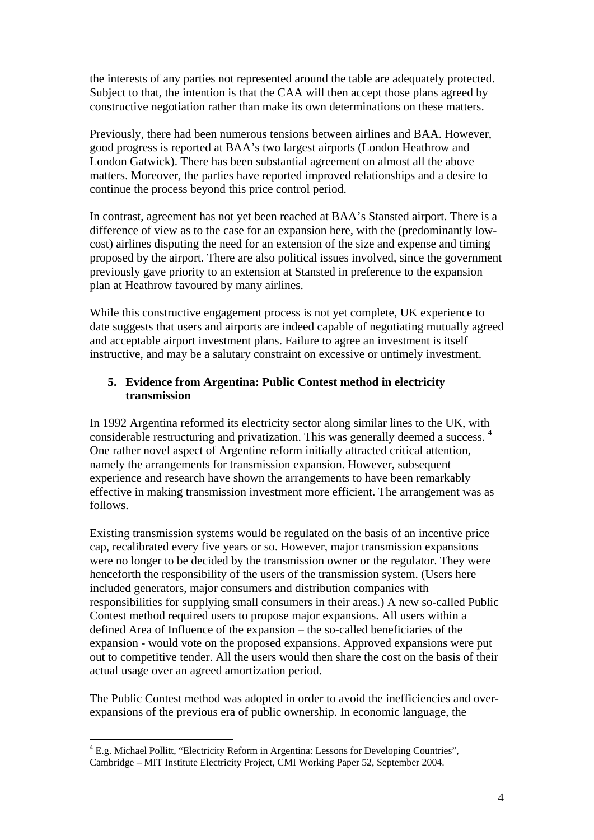the interests of any parties not represented around the table are adequately protected. Subject to that, the intention is that the CAA will then accept those plans agreed by constructive negotiation rather than make its own determinations on these matters.

Previously, there had been numerous tensions between airlines and BAA. However, good progress is reported at BAA's two largest airports (London Heathrow and London Gatwick). There has been substantial agreement on almost all the above matters. Moreover, the parties have reported improved relationships and a desire to continue the process beyond this price control period.

In contrast, agreement has not yet been reached at BAA's Stansted airport. There is a difference of view as to the case for an expansion here, with the (predominantly lowcost) airlines disputing the need for an extension of the size and expense and timing proposed by the airport. There are also political issues involved, since the government previously gave priority to an extension at Stansted in preference to the expansion plan at Heathrow favoured by many airlines.

While this constructive engagement process is not yet complete, UK experience to date suggests that users and airports are indeed capable of negotiating mutually agreed and acceptable airport investment plans. Failure to agree an investment is itself instructive, and may be a salutary constraint on excessive or untimely investment.

## **5. Evidence from Argentina: Public Contest method in electricity transmission**

In 1992 Argentina reformed its electricity sector along similar lines to the UK, with considerable restructuring and privatization. This was generally deemed a success. 4 One rather novel aspect of Argentine reform initially attracted critical attention, namely the arrangements for transmission expansion. However, subsequent experience and research have shown the arrangements to have been remarkably effective in making transmission investment more efficient. The arrangement was as follows.

Existing transmission systems would be regulated on the basis of an incentive price cap, recalibrated every five years or so. However, major transmission expansions were no longer to be decided by the transmission owner or the regulator. They were henceforth the responsibility of the users of the transmission system. (Users here included generators, major consumers and distribution companies with responsibilities for supplying small consumers in their areas.) A new so-called Public Contest method required users to propose major expansions. All users within a defined Area of Influence of the expansion – the so-called beneficiaries of the expansion - would vote on the proposed expansions. Approved expansions were put out to competitive tender. All the users would then share the cost on the basis of their actual usage over an agreed amortization period.

The Public Contest method was adopted in order to avoid the inefficiencies and overexpansions of the previous era of public ownership. In economic language, the

<sup>&</sup>lt;u>.</u> <sup>4</sup> E.g. Michael Pollitt, "Electricity Reform in Argentina: Lessons for Developing Countries", Cambridge – MIT Institute Electricity Project, CMI Working Paper 52, September 2004.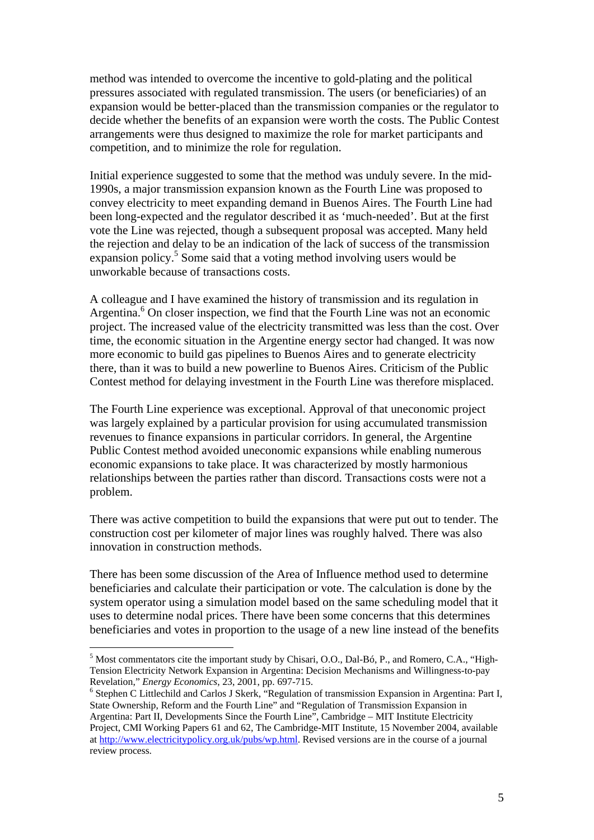method was intended to overcome the incentive to gold-plating and the political pressures associated with regulated transmission. The users (or beneficiaries) of an expansion would be better-placed than the transmission companies or the regulator to decide whether the benefits of an expansion were worth the costs. The Public Contest arrangements were thus designed to maximize the role for market participants and competition, and to minimize the role for regulation.

Initial experience suggested to some that the method was unduly severe. In the mid-1990s, a major transmission expansion known as the Fourth Line was proposed to convey electricity to meet expanding demand in Buenos Aires. The Fourth Line had been long-expected and the regulator described it as 'much-needed'. But at the first vote the Line was rejected, though a subsequent proposal was accepted. Many held the rejection and delay to be an indication of the lack of success of the transmission expansion policy.<sup>5</sup> Some said that a voting method involving users would be unworkable because of transactions costs.

A colleague and I have examined the history of transmission and its regulation in Argentina.<sup>6</sup> On closer inspection, we find that the Fourth Line was not an economic project. The increased value of the electricity transmitted was less than the cost. Over time, the economic situation in the Argentine energy sector had changed. It was now more economic to build gas pipelines to Buenos Aires and to generate electricity there, than it was to build a new powerline to Buenos Aires. Criticism of the Public Contest method for delaying investment in the Fourth Line was therefore misplaced.

The Fourth Line experience was exceptional. Approval of that uneconomic project was largely explained by a particular provision for using accumulated transmission revenues to finance expansions in particular corridors. In general, the Argentine Public Contest method avoided uneconomic expansions while enabling numerous economic expansions to take place. It was characterized by mostly harmonious relationships between the parties rather than discord. Transactions costs were not a problem.

There was active competition to build the expansions that were put out to tender. The construction cost per kilometer of major lines was roughly halved. There was also innovation in construction methods.

There has been some discussion of the Area of Influence method used to determine beneficiaries and calculate their participation or vote. The calculation is done by the system operator using a simulation model based on the same scheduling model that it uses to determine nodal prices. There have been some concerns that this determines beneficiaries and votes in proportion to the usage of a new line instead of the benefits

<sup>&</sup>lt;sup>5</sup> Most commentators cite the important study by Chisari, O.O., Dal-Bó, P., and Romero, C.A., "High-Tension Electricity Network Expansion in Argentina: Decision Mechanisms and Willingness-to-pay Revelation," *Energy Economics*, 23, 2001, pp. 697-715. 6

<sup>&</sup>lt;sup>6</sup> Stephen C Littlechild and Carlos J Skerk, "Regulation of transmission Expansion in Argentina: Part I, State Ownership, Reform and the Fourth Line" and "Regulation of Transmission Expansion in Argentina: Part II, Developments Since the Fourth Line", Cambridge – MIT Institute Electricity Project, CMI Working Papers 61 and 62, The Cambridge-MIT Institute, 15 November 2004, available at http://www.electricitypolicy.org.uk/pubs/wp.html. Revised versions are in the course of a journal review process.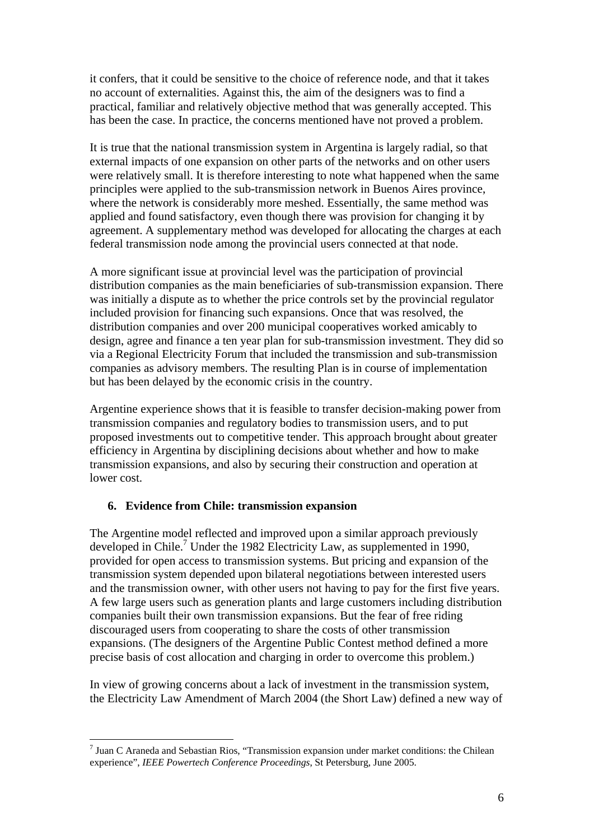it confers, that it could be sensitive to the choice of reference node, and that it takes no account of externalities. Against this, the aim of the designers was to find a practical, familiar and relatively objective method that was generally accepted. This has been the case. In practice, the concerns mentioned have not proved a problem.

It is true that the national transmission system in Argentina is largely radial, so that external impacts of one expansion on other parts of the networks and on other users were relatively small. It is therefore interesting to note what happened when the same principles were applied to the sub-transmission network in Buenos Aires province, where the network is considerably more meshed. Essentially, the same method was applied and found satisfactory, even though there was provision for changing it by agreement. A supplementary method was developed for allocating the charges at each federal transmission node among the provincial users connected at that node.

A more significant issue at provincial level was the participation of provincial distribution companies as the main beneficiaries of sub-transmission expansion. There was initially a dispute as to whether the price controls set by the provincial regulator included provision for financing such expansions. Once that was resolved, the distribution companies and over 200 municipal cooperatives worked amicably to design, agree and finance a ten year plan for sub-transmission investment. They did so via a Regional Electricity Forum that included the transmission and sub-transmission companies as advisory members. The resulting Plan is in course of implementation but has been delayed by the economic crisis in the country.

Argentine experience shows that it is feasible to transfer decision-making power from transmission companies and regulatory bodies to transmission users, and to put proposed investments out to competitive tender. This approach brought about greater efficiency in Argentina by disciplining decisions about whether and how to make transmission expansions, and also by securing their construction and operation at lower cost.

## **6. Evidence from Chile: transmission expansion**

<u>.</u>

The Argentine model reflected and improved upon a similar approach previously developed in Chile.<sup>7</sup> Under the 1982 Electricity Law, as supplemented in 1990, provided for open access to transmission systems. But pricing and expansion of the transmission system depended upon bilateral negotiations between interested users and the transmission owner, with other users not having to pay for the first five years. A few large users such as generation plants and large customers including distribution companies built their own transmission expansions. But the fear of free riding discouraged users from cooperating to share the costs of other transmission expansions. (The designers of the Argentine Public Contest method defined a more precise basis of cost allocation and charging in order to overcome this problem.)

In view of growing concerns about a lack of investment in the transmission system, the Electricity Law Amendment of March 2004 (the Short Law) defined a new way of

 $<sup>7</sup>$  Juan C Araneda and Sebastian Rios, "Transmission expansion under market conditions: the Chilean</sup> experience", *IEEE Powertech Conference Proceedings*, St Petersburg, June 2005.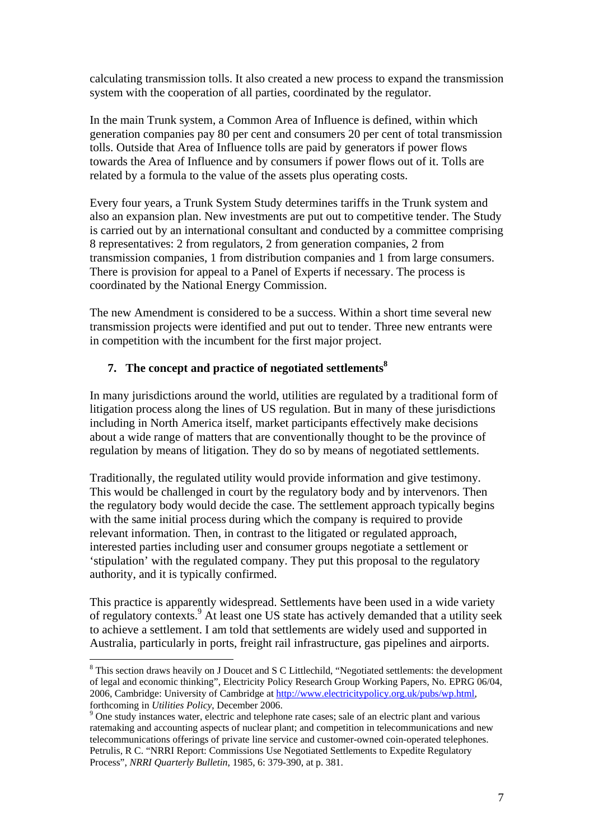calculating transmission tolls. It also created a new process to expand the transmission system with the cooperation of all parties, coordinated by the regulator.

In the main Trunk system, a Common Area of Influence is defined, within which generation companies pay 80 per cent and consumers 20 per cent of total transmission tolls. Outside that Area of Influence tolls are paid by generators if power flows towards the Area of Influence and by consumers if power flows out of it. Tolls are related by a formula to the value of the assets plus operating costs.

Every four years, a Trunk System Study determines tariffs in the Trunk system and also an expansion plan. New investments are put out to competitive tender. The Study is carried out by an international consultant and conducted by a committee comprising 8 representatives: 2 from regulators, 2 from generation companies, 2 from transmission companies, 1 from distribution companies and 1 from large consumers. There is provision for appeal to a Panel of Experts if necessary. The process is coordinated by the National Energy Commission.

The new Amendment is considered to be a success. Within a short time several new transmission projects were identified and put out to tender. Three new entrants were in competition with the incumbent for the first major project.

# **7.** The concept and practice of negotiated settlements<sup>8</sup>

In many jurisdictions around the world, utilities are regulated by a traditional form of litigation process along the lines of US regulation. But in many of these jurisdictions including in North America itself, market participants effectively make decisions about a wide range of matters that are conventionally thought to be the province of regulation by means of litigation. They do so by means of negotiated settlements.

Traditionally, the regulated utility would provide information and give testimony. This would be challenged in court by the regulatory body and by intervenors. Then the regulatory body would decide the case. The settlement approach typically begins with the same initial process during which the company is required to provide relevant information. Then, in contrast to the litigated or regulated approach, interested parties including user and consumer groups negotiate a settlement or 'stipulation' with the regulated company. They put this proposal to the regulatory authority, and it is typically confirmed.

This practice is apparently widespread. Settlements have been used in a wide variety of regulatory contexts.<sup>9</sup> At least one US state has actively demanded that a utility seek to achieve a settlement. I am told that settlements are widely used and supported in Australia, particularly in ports, freight rail infrastructure, gas pipelines and airports.

<sup>&</sup>lt;sup>8</sup> This section draws heavily on J Doucet and S C Littlechild, "Negotiated settlements: the development of legal and economic thinking", Electricity Policy Research Group Working Papers, No. EPRG 06/04, 2006, Cambridge: University of Cambridge at http://www.electricitypolicy.org.uk/pubs/wp.html, forthcoming in *Utilities Policy*, December 2006.

<sup>&</sup>lt;sup>9</sup> One study instances water, electric and telephone rate cases; sale of an electric plant and various ratemaking and accounting aspects of nuclear plant; and competition in telecommunications and new telecommunications offerings of private line service and customer-owned coin-operated telephones. Petrulis, R C. "NRRI Report: Commissions Use Negotiated Settlements to Expedite Regulatory Process", *NRRI Quarterly Bulletin*, 1985, 6: 379-390, at p. 381.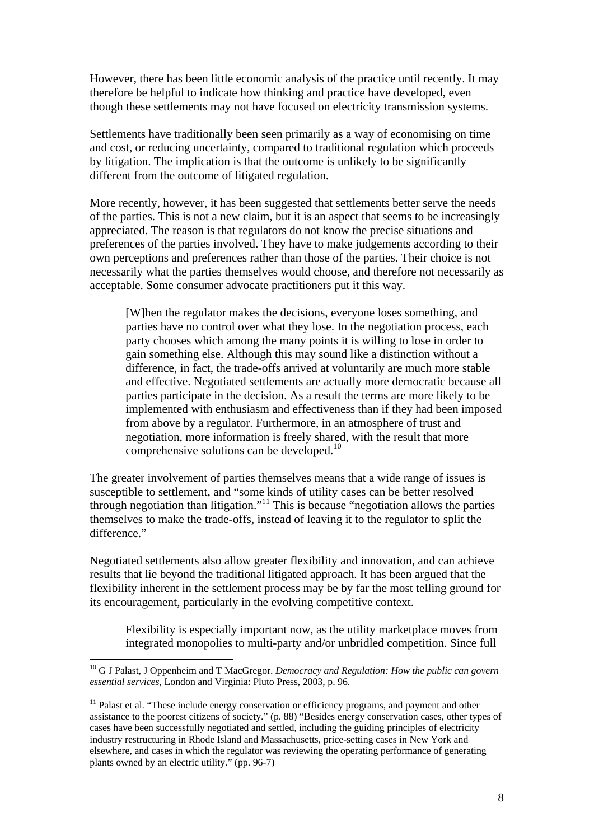However, there has been little economic analysis of the practice until recently. It may therefore be helpful to indicate how thinking and practice have developed, even though these settlements may not have focused on electricity transmission systems.

Settlements have traditionally been seen primarily as a way of economising on time and cost, or reducing uncertainty, compared to traditional regulation which proceeds by litigation. The implication is that the outcome is unlikely to be significantly different from the outcome of litigated regulation.

More recently, however, it has been suggested that settlements better serve the needs of the parties. This is not a new claim, but it is an aspect that seems to be increasingly appreciated. The reason is that regulators do not know the precise situations and preferences of the parties involved. They have to make judgements according to their own perceptions and preferences rather than those of the parties. Their choice is not necessarily what the parties themselves would choose, and therefore not necessarily as acceptable. Some consumer advocate practitioners put it this way.

[W]hen the regulator makes the decisions, everyone loses something, and parties have no control over what they lose. In the negotiation process, each party chooses which among the many points it is willing to lose in order to gain something else. Although this may sound like a distinction without a difference, in fact, the trade-offs arrived at voluntarily are much more stable and effective. Negotiated settlements are actually more democratic because all parties participate in the decision. As a result the terms are more likely to be implemented with enthusiasm and effectiveness than if they had been imposed from above by a regulator. Furthermore, in an atmosphere of trust and negotiation, more information is freely shared, with the result that more comprehensive solutions can be developed.<sup>10</sup>

The greater involvement of parties themselves means that a wide range of issues is susceptible to settlement, and "some kinds of utility cases can be better resolved through negotiation than litigation."11 This is because "negotiation allows the parties themselves to make the trade-offs, instead of leaving it to the regulator to split the difference."

Negotiated settlements also allow greater flexibility and innovation, and can achieve results that lie beyond the traditional litigated approach. It has been argued that the flexibility inherent in the settlement process may be by far the most telling ground for its encouragement, particularly in the evolving competitive context.

Flexibility is especially important now, as the utility marketplace moves from integrated monopolies to multi-party and/or unbridled competition. Since full

<sup>&</sup>lt;sup>10</sup> G J Palast, J Oppenheim and T MacGregor. *Democracy and Regulation: How the public can govern essential services*, London and Virginia: Pluto Press, 2003, p. 96.

 $<sup>11</sup>$  Palast et al. "These include energy conservation or efficiency programs, and payment and other</sup> assistance to the poorest citizens of society." (p. 88) "Besides energy conservation cases, other types of cases have been successfully negotiated and settled, including the guiding principles of electricity industry restructuring in Rhode Island and Massachusetts, price-setting cases in New York and elsewhere, and cases in which the regulator was reviewing the operating performance of generating plants owned by an electric utility." (pp. 96-7)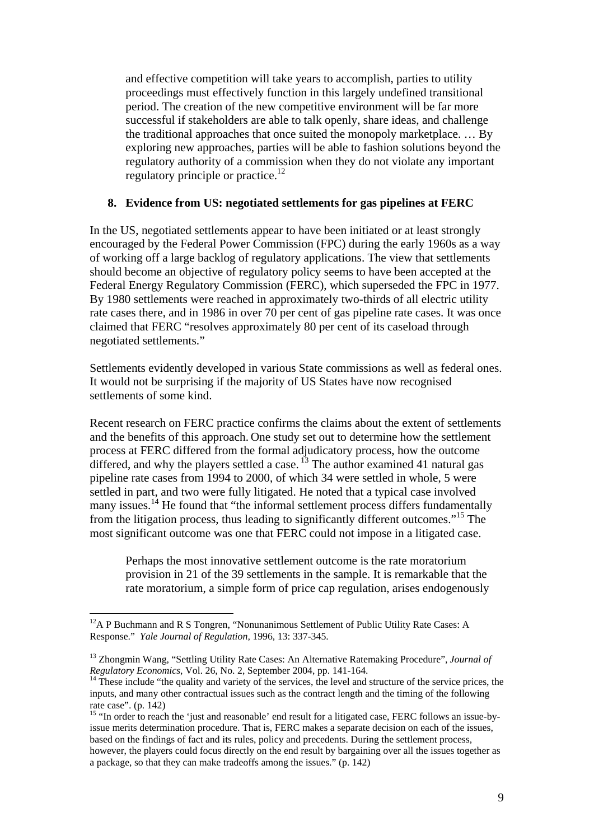and effective competition will take years to accomplish, parties to utility proceedings must effectively function in this largely undefined transitional period. The creation of the new competitive environment will be far more successful if stakeholders are able to talk openly, share ideas, and challenge the traditional approaches that once suited the monopoly marketplace. … By exploring new approaches, parties will be able to fashion solutions beyond the regulatory authority of a commission when they do not violate any important regulatory principle or practice.<sup>12</sup>

#### **8. Evidence from US: negotiated settlements for gas pipelines at FERC**

In the US, negotiated settlements appear to have been initiated or at least strongly encouraged by the Federal Power Commission (FPC) during the early 1960s as a way of working off a large backlog of regulatory applications. The view that settlements should become an objective of regulatory policy seems to have been accepted at the Federal Energy Regulatory Commission (FERC), which superseded the FPC in 1977. By 1980 settlements were reached in approximately two-thirds of all electric utility rate cases there, and in 1986 in over 70 per cent of gas pipeline rate cases. It was once claimed that FERC "resolves approximately 80 per cent of its caseload through negotiated settlements."

Settlements evidently developed in various State commissions as well as federal ones. It would not be surprising if the majority of US States have now recognised settlements of some kind.

Recent research on FERC practice confirms the claims about the extent of settlements and the benefits of this approach. One study set out to determine how the settlement process at FERC differed from the formal adjudicatory process, how the outcome differed, and why the players settled a case.  $\frac{13}{3}$  The author examined 41 natural gas pipeline rate cases from 1994 to 2000, of which 34 were settled in whole, 5 were settled in part, and two were fully litigated. He noted that a typical case involved many issues.<sup>14</sup> He found that "the informal settlement process differs fundamentally from the litigation process, thus leading to significantly different outcomes."15 The most significant outcome was one that FERC could not impose in a litigated case.

Perhaps the most innovative settlement outcome is the rate moratorium provision in 21 of the 39 settlements in the sample. It is remarkable that the rate moratorium, a simple form of price cap regulation, arises endogenously

 $12$ A P Buchmann and R S Tongren, "Nonunanimous Settlement of Public Utility Rate Cases: A Response." *Yale Journal of Regulation,* 1996, 13: 337-345.

<sup>&</sup>lt;sup>13</sup> Zhongmin Wang, "Settling Utility Rate Cases: An Alternative Ratemaking Procedure", *Journal of Regulatory Economics*, Vol. 26, No. 2, September 2004, pp. 141-164.

<sup>&</sup>lt;sup>14</sup> These include "the quality and variety of the services, the level and structure of the service prices, the inputs, and many other contractual issues such as the contract length and the timing of the following rate case". (p. 142)

<sup>&</sup>lt;sup>15</sup> "In order to reach the 'just and reasonable' end result for a litigated case, FERC follows an issue-byissue merits determination procedure. That is, FERC makes a separate decision on each of the issues, based on the findings of fact and its rules, policy and precedents. During the settlement process, however, the players could focus directly on the end result by bargaining over all the issues together as a package, so that they can make tradeoffs among the issues." (p. 142)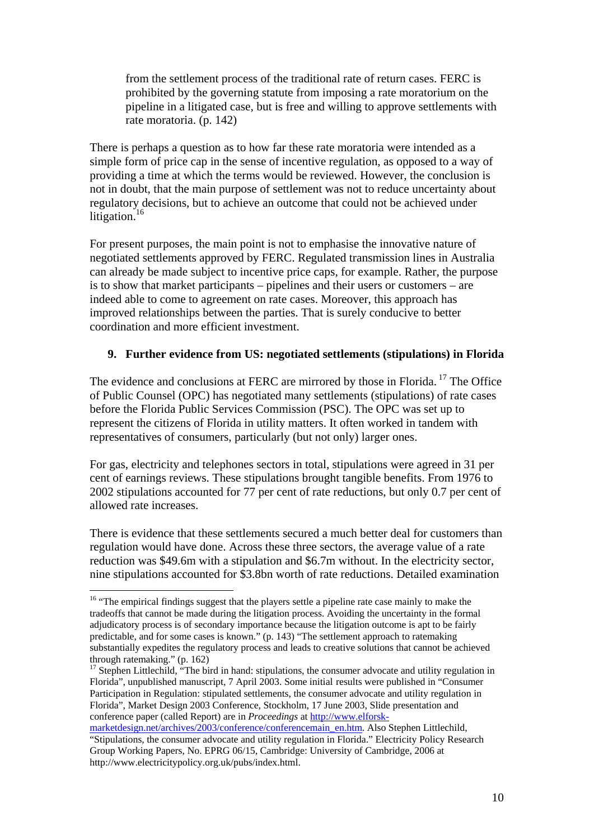from the settlement process of the traditional rate of return cases. FERC is prohibited by the governing statute from imposing a rate moratorium on the pipeline in a litigated case, but is free and willing to approve settlements with rate moratoria. (p. 142)

There is perhaps a question as to how far these rate moratoria were intended as a simple form of price cap in the sense of incentive regulation, as opposed to a way of providing a time at which the terms would be reviewed. However, the conclusion is not in doubt, that the main purpose of settlement was not to reduce uncertainty about regulatory decisions, but to achieve an outcome that could not be achieved under litigation.<sup>16</sup>

For present purposes, the main point is not to emphasise the innovative nature of negotiated settlements approved by FERC. Regulated transmission lines in Australia can already be made subject to incentive price caps, for example. Rather, the purpose is to show that market participants – pipelines and their users or customers – are indeed able to come to agreement on rate cases. Moreover, this approach has improved relationships between the parties. That is surely conducive to better coordination and more efficient investment.

## **9. Further evidence from US: negotiated settlements (stipulations) in Florida**

The evidence and conclusions at FERC are mirrored by those in Florida.<sup>17</sup> The Office of Public Counsel (OPC) has negotiated many settlements (stipulations) of rate cases before the Florida Public Services Commission (PSC). The OPC was set up to represent the citizens of Florida in utility matters. It often worked in tandem with representatives of consumers, particularly (but not only) larger ones.

For gas, electricity and telephones sectors in total, stipulations were agreed in 31 per cent of earnings reviews. These stipulations brought tangible benefits. From 1976 to 2002 stipulations accounted for 77 per cent of rate reductions, but only 0.7 per cent of allowed rate increases.

There is evidence that these settlements secured a much better deal for customers than regulation would have done. Across these three sectors, the average value of a rate reduction was \$49.6m with a stipulation and \$6.7m without. In the electricity sector, nine stipulations accounted for \$3.8bn worth of rate reductions. Detailed examination

<sup>1</sup> <sup>16</sup> "The empirical findings suggest that the players settle a pipeline rate case mainly to make the tradeoffs that cannot be made during the litigation process. Avoiding the uncertainty in the formal adjudicatory process is of secondary importance because the litigation outcome is apt to be fairly predictable, and for some cases is known." (p. 143) "The settlement approach to ratemaking substantially expedites the regulatory process and leads to creative solutions that cannot be achieved through ratemaking." (p. 162)

<sup>&</sup>lt;sup>17</sup> Stephen Littlechild, "The bird in hand: stipulations, the consumer advocate and utility regulation in Florida", unpublished manuscript, 7 April 2003. Some initial results were published in "Consumer Participation in Regulation: stipulated settlements, the consumer advocate and utility regulation in Florida", Market Design 2003 Conference, Stockholm, 17 June 2003, Slide presentation and conference paper (called Report) are in *Proceedings* at http://www.elforsk-

marketdesign.net/archives/2003/conference/conferencemain\_en.htm. Also Stephen Littlechild, "Stipulations, the consumer advocate and utility regulation in Florida." Electricity Policy Research Group Working Papers, No. EPRG 06/15, Cambridge: University of Cambridge, 2006 at http://www.electricitypolicy.org.uk/pubs/index.html.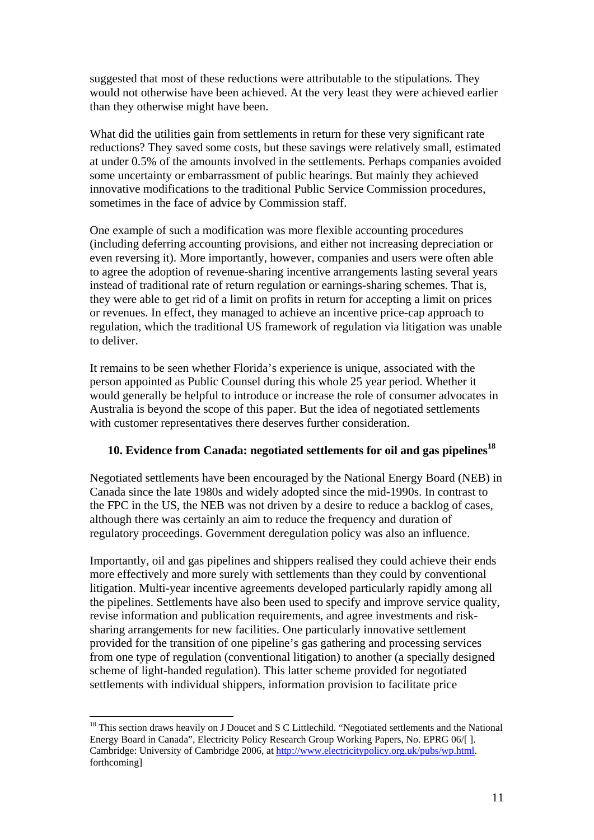suggested that most of these reductions were attributable to the stipulations. They would not otherwise have been achieved. At the very least they were achieved earlier than they otherwise might have been.

What did the utilities gain from settlements in return for these very significant rate reductions? They saved some costs, but these savings were relatively small, estimated at under 0.5% of the amounts involved in the settlements. Perhaps companies avoided some uncertainty or embarrassment of public hearings. But mainly they achieved innovative modifications to the traditional Public Service Commission procedures, sometimes in the face of advice by Commission staff.

One example of such a modification was more flexible accounting procedures (including deferring accounting provisions, and either not increasing depreciation or even reversing it). More importantly, however, companies and users were often able to agree the adoption of revenue-sharing incentive arrangements lasting several years instead of traditional rate of return regulation or earnings-sharing schemes. That is, they were able to get rid of a limit on profits in return for accepting a limit on prices or revenues. In effect, they managed to achieve an incentive price-cap approach to regulation, which the traditional US framework of regulation via litigation was unable to deliver.

It remains to be seen whether Florida's experience is unique, associated with the person appointed as Public Counsel during this whole 25 year period. Whether it would generally be helpful to introduce or increase the role of consumer advocates in Australia is beyond the scope of this paper. But the idea of negotiated settlements with customer representatives there deserves further consideration.

# **10. Evidence from Canada: negotiated settlements for oil and gas pipelines<sup>18</sup>**

Negotiated settlements have been encouraged by the National Energy Board (NEB) in Canada since the late 1980s and widely adopted since the mid-1990s. In contrast to the FPC in the US, the NEB was not driven by a desire to reduce a backlog of cases, although there was certainly an aim to reduce the frequency and duration of regulatory proceedings. Government deregulation policy was also an influence.

Importantly, oil and gas pipelines and shippers realised they could achieve their ends more effectively and more surely with settlements than they could by conventional litigation. Multi-year incentive agreements developed particularly rapidly among all the pipelines. Settlements have also been used to specify and improve service quality, revise information and publication requirements, and agree investments and risksharing arrangements for new facilities. One particularly innovative settlement provided for the transition of one pipeline's gas gathering and processing services from one type of regulation (conventional litigation) to another (a specially designed scheme of light-handed regulation). This latter scheme provided for negotiated settlements with individual shippers, information provision to facilitate price

<sup>&</sup>lt;sup>18</sup> This section draws heavily on J Doucet and S C Littlechild. "Negotiated settlements and the National Energy Board in Canada", Electricity Policy Research Group Working Papers, No. EPRG 06/[ ]. Cambridge: University of Cambridge 2006, at http://www.electricitypolicy.org.uk/pubs/wp.html. forthcoming]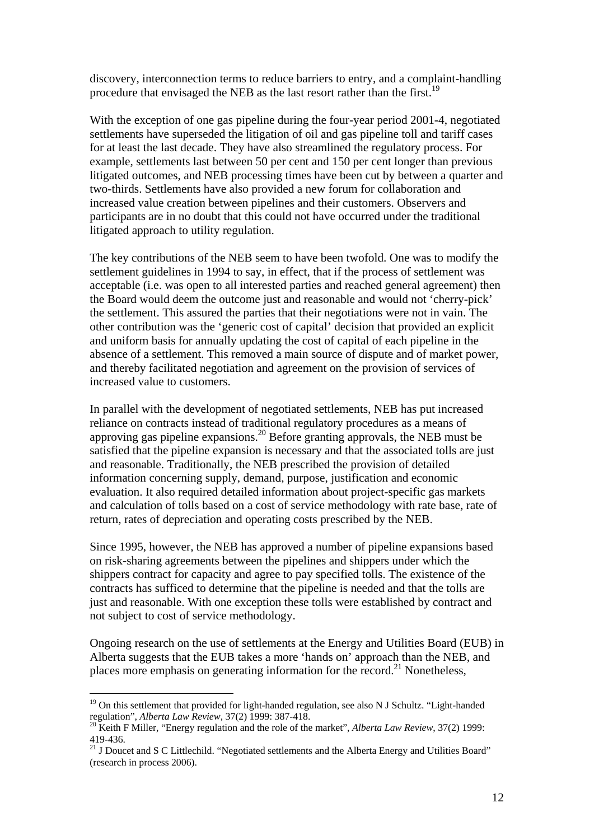discovery, interconnection terms to reduce barriers to entry, and a complaint-handling procedure that envisaged the NEB as the last resort rather than the first.<sup>19</sup>

With the exception of one gas pipeline during the four-year period 2001-4, negotiated settlements have superseded the litigation of oil and gas pipeline toll and tariff cases for at least the last decade. They have also streamlined the regulatory process. For example, settlements last between 50 per cent and 150 per cent longer than previous litigated outcomes, and NEB processing times have been cut by between a quarter and two-thirds. Settlements have also provided a new forum for collaboration and increased value creation between pipelines and their customers. Observers and participants are in no doubt that this could not have occurred under the traditional litigated approach to utility regulation.

The key contributions of the NEB seem to have been twofold. One was to modify the settlement guidelines in 1994 to say, in effect, that if the process of settlement was acceptable (i.e. was open to all interested parties and reached general agreement) then the Board would deem the outcome just and reasonable and would not 'cherry-pick' the settlement. This assured the parties that their negotiations were not in vain. The other contribution was the 'generic cost of capital' decision that provided an explicit and uniform basis for annually updating the cost of capital of each pipeline in the absence of a settlement. This removed a main source of dispute and of market power, and thereby facilitated negotiation and agreement on the provision of services of increased value to customers.

In parallel with the development of negotiated settlements, NEB has put increased reliance on contracts instead of traditional regulatory procedures as a means of approving gas pipeline expansions.20 Before granting approvals, the NEB must be satisfied that the pipeline expansion is necessary and that the associated tolls are just and reasonable. Traditionally, the NEB prescribed the provision of detailed information concerning supply, demand, purpose, justification and economic evaluation. It also required detailed information about project-specific gas markets and calculation of tolls based on a cost of service methodology with rate base, rate of return, rates of depreciation and operating costs prescribed by the NEB.

Since 1995, however, the NEB has approved a number of pipeline expansions based on risk-sharing agreements between the pipelines and shippers under which the shippers contract for capacity and agree to pay specified tolls. The existence of the contracts has sufficed to determine that the pipeline is needed and that the tolls are just and reasonable. With one exception these tolls were established by contract and not subject to cost of service methodology.

Ongoing research on the use of settlements at the Energy and Utilities Board (EUB) in Alberta suggests that the EUB takes a more 'hands on' approach than the NEB, and places more emphasis on generating information for the record.<sup>21</sup> Nonetheless,

<sup>&</sup>lt;sup>19</sup> On this settlement that provided for light-handed regulation, see also N J Schultz. "Light-handed regulation", *Alberta Law Review*, 37(2) 1999: 387-418.<br><sup>20</sup> Keith F Miller, "Energy regulation and the role of the market", *Alberta Law Review*, 37(2) 1999:

<sup>419-436.</sup> 

<sup>&</sup>lt;sup>21</sup> J Doucet and S C Littlechild. "Negotiated settlements and the Alberta Energy and Utilities Board" (research in process 2006).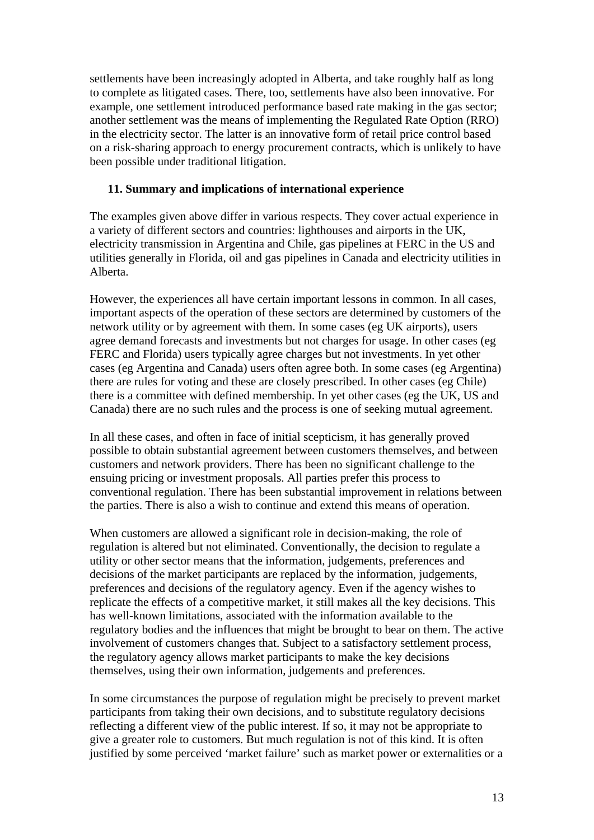settlements have been increasingly adopted in Alberta, and take roughly half as long to complete as litigated cases. There, too, settlements have also been innovative. For example, one settlement introduced performance based rate making in the gas sector; another settlement was the means of implementing the Regulated Rate Option (RRO) in the electricity sector. The latter is an innovative form of retail price control based on a risk-sharing approach to energy procurement contracts, which is unlikely to have been possible under traditional litigation.

#### **11. Summary and implications of international experience**

The examples given above differ in various respects. They cover actual experience in a variety of different sectors and countries: lighthouses and airports in the UK, electricity transmission in Argentina and Chile, gas pipelines at FERC in the US and utilities generally in Florida, oil and gas pipelines in Canada and electricity utilities in Alberta.

However, the experiences all have certain important lessons in common. In all cases, important aspects of the operation of these sectors are determined by customers of the network utility or by agreement with them. In some cases (eg UK airports), users agree demand forecasts and investments but not charges for usage. In other cases (eg FERC and Florida) users typically agree charges but not investments. In yet other cases (eg Argentina and Canada) users often agree both. In some cases (eg Argentina) there are rules for voting and these are closely prescribed. In other cases (eg Chile) there is a committee with defined membership. In yet other cases (eg the UK, US and Canada) there are no such rules and the process is one of seeking mutual agreement.

In all these cases, and often in face of initial scepticism, it has generally proved possible to obtain substantial agreement between customers themselves, and between customers and network providers. There has been no significant challenge to the ensuing pricing or investment proposals. All parties prefer this process to conventional regulation. There has been substantial improvement in relations between the parties. There is also a wish to continue and extend this means of operation.

When customers are allowed a significant role in decision-making, the role of regulation is altered but not eliminated. Conventionally, the decision to regulate a utility or other sector means that the information, judgements, preferences and decisions of the market participants are replaced by the information, judgements, preferences and decisions of the regulatory agency. Even if the agency wishes to replicate the effects of a competitive market, it still makes all the key decisions. This has well-known limitations, associated with the information available to the regulatory bodies and the influences that might be brought to bear on them. The active involvement of customers changes that. Subject to a satisfactory settlement process, the regulatory agency allows market participants to make the key decisions themselves, using their own information, judgements and preferences.

In some circumstances the purpose of regulation might be precisely to prevent market participants from taking their own decisions, and to substitute regulatory decisions reflecting a different view of the public interest. If so, it may not be appropriate to give a greater role to customers. But much regulation is not of this kind. It is often justified by some perceived 'market failure' such as market power or externalities or a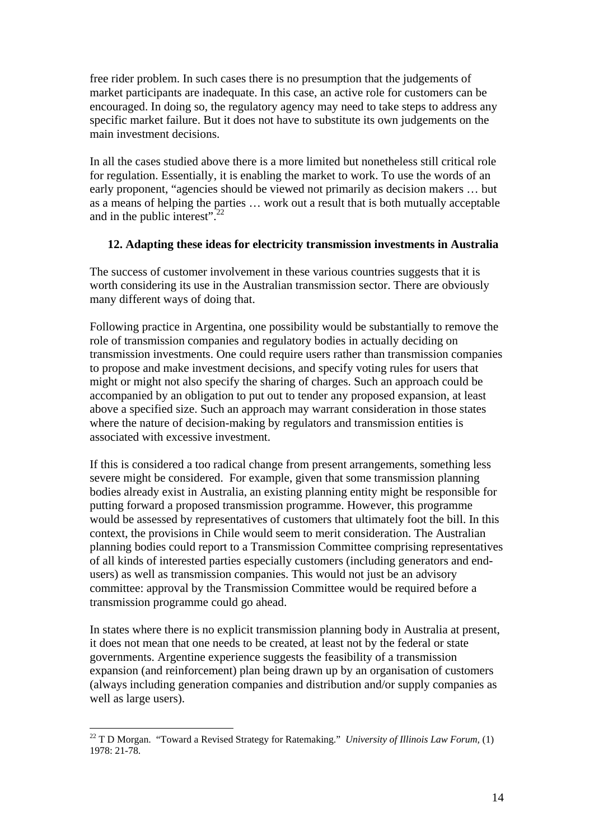free rider problem. In such cases there is no presumption that the judgements of market participants are inadequate. In this case, an active role for customers can be encouraged. In doing so, the regulatory agency may need to take steps to address any specific market failure. But it does not have to substitute its own judgements on the main investment decisions.

In all the cases studied above there is a more limited but nonetheless still critical role for regulation. Essentially, it is enabling the market to work. To use the words of an early proponent, "agencies should be viewed not primarily as decision makers … but as a means of helping the parties … work out a result that is both mutually acceptable and in the public interest".22

#### **12. Adapting these ideas for electricity transmission investments in Australia**

The success of customer involvement in these various countries suggests that it is worth considering its use in the Australian transmission sector. There are obviously many different ways of doing that.

Following practice in Argentina, one possibility would be substantially to remove the role of transmission companies and regulatory bodies in actually deciding on transmission investments. One could require users rather than transmission companies to propose and make investment decisions, and specify voting rules for users that might or might not also specify the sharing of charges. Such an approach could be accompanied by an obligation to put out to tender any proposed expansion, at least above a specified size. Such an approach may warrant consideration in those states where the nature of decision-making by regulators and transmission entities is associated with excessive investment.

If this is considered a too radical change from present arrangements, something less severe might be considered. For example, given that some transmission planning bodies already exist in Australia, an existing planning entity might be responsible for putting forward a proposed transmission programme. However, this programme would be assessed by representatives of customers that ultimately foot the bill. In this context, the provisions in Chile would seem to merit consideration. The Australian planning bodies could report to a Transmission Committee comprising representatives of all kinds of interested parties especially customers (including generators and endusers) as well as transmission companies. This would not just be an advisory committee: approval by the Transmission Committee would be required before a transmission programme could go ahead.

In states where there is no explicit transmission planning body in Australia at present, it does not mean that one needs to be created, at least not by the federal or state governments. Argentine experience suggests the feasibility of a transmission expansion (and reinforcement) plan being drawn up by an organisation of customers (always including generation companies and distribution and/or supply companies as well as large users).

<sup>22</sup> T D Morgan. "Toward a Revised Strategy for Ratemaking." *University of Illinois Law Forum,* (1)  $1978 \cdot 21 - 78$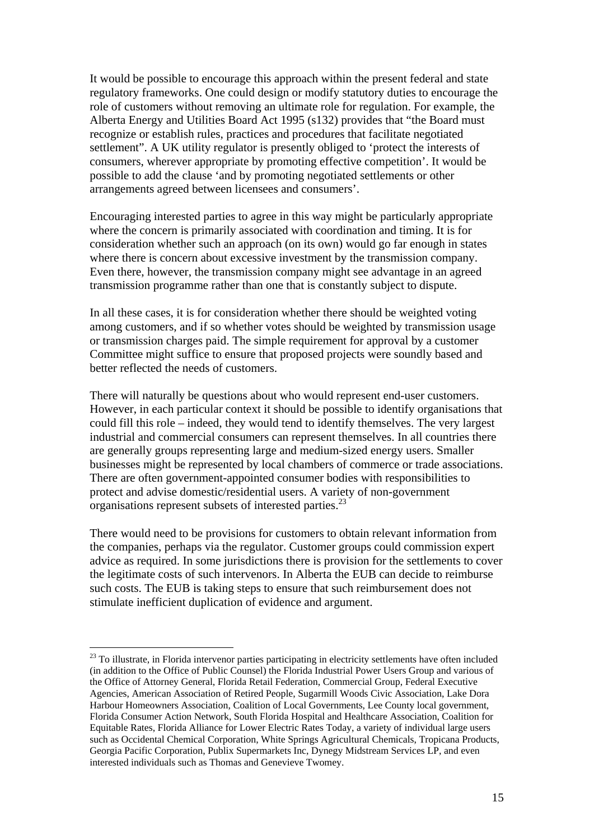It would be possible to encourage this approach within the present federal and state regulatory frameworks. One could design or modify statutory duties to encourage the role of customers without removing an ultimate role for regulation. For example, the Alberta Energy and Utilities Board Act 1995 (s132) provides that "the Board must recognize or establish rules, practices and procedures that facilitate negotiated settlement". A UK utility regulator is presently obliged to 'protect the interests of consumers, wherever appropriate by promoting effective competition'. It would be possible to add the clause 'and by promoting negotiated settlements or other arrangements agreed between licensees and consumers'.

Encouraging interested parties to agree in this way might be particularly appropriate where the concern is primarily associated with coordination and timing. It is for consideration whether such an approach (on its own) would go far enough in states where there is concern about excessive investment by the transmission company. Even there, however, the transmission company might see advantage in an agreed transmission programme rather than one that is constantly subject to dispute.

In all these cases, it is for consideration whether there should be weighted voting among customers, and if so whether votes should be weighted by transmission usage or transmission charges paid. The simple requirement for approval by a customer Committee might suffice to ensure that proposed projects were soundly based and better reflected the needs of customers.

There will naturally be questions about who would represent end-user customers. However, in each particular context it should be possible to identify organisations that could fill this role – indeed, they would tend to identify themselves. The very largest industrial and commercial consumers can represent themselves. In all countries there are generally groups representing large and medium-sized energy users. Smaller businesses might be represented by local chambers of commerce or trade associations. There are often government-appointed consumer bodies with responsibilities to protect and advise domestic/residential users. A variety of non-government organisations represent subsets of interested parties.23

There would need to be provisions for customers to obtain relevant information from the companies, perhaps via the regulator. Customer groups could commission expert advice as required. In some jurisdictions there is provision for the settlements to cover the legitimate costs of such intervenors. In Alberta the EUB can decide to reimburse such costs. The EUB is taking steps to ensure that such reimbursement does not stimulate inefficient duplication of evidence and argument.

<sup>&</sup>lt;sup>23</sup> To illustrate, in Florida intervenor parties participating in electricity settlements have often included (in addition to the Office of Public Counsel) the Florida Industrial Power Users Group and various of the Office of Attorney General, Florida Retail Federation, Commercial Group, Federal Executive Agencies, American Association of Retired People, Sugarmill Woods Civic Association, Lake Dora Harbour Homeowners Association, Coalition of Local Governments, Lee County local government, Florida Consumer Action Network, South Florida Hospital and Healthcare Association, Coalition for Equitable Rates, Florida Alliance for Lower Electric Rates Today, a variety of individual large users such as Occidental Chemical Corporation, White Springs Agricultural Chemicals, Tropicana Products, Georgia Pacific Corporation, Publix Supermarkets Inc, Dynegy Midstream Services LP, and even interested individuals such as Thomas and Genevieve Twomey.